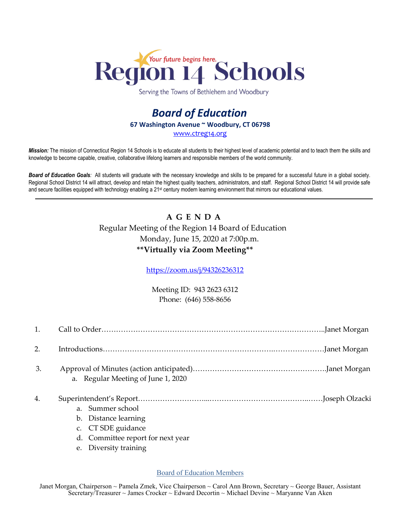

Serving the Towns of Bethlehem and Woodbury

## *Board of Education* **67 Washington Avenue ~ Woodbury, CT 06798** [www.ctreg14.org](http://www.ctreg14.org/)

*Mission:* The mission of Connecticut Region 14 Schools is to educate all students to their highest level of academic potential and to teach them the skills and knowledge to become capable, creative, collaborative lifelong learners and responsible members of the world community.

*Board of Education Goals:* All students will graduate with the necessary knowledge and skills to be prepared for a successful future in a global society. Regional School District 14 will attract, develop and retain the highest quality teachers, administrators, and staff. Regional School District 14 will provide safe and secure facilities equipped with technology enabling a 21<sup>st</sup> century modern learning environment that mirrors our educational values.

## **A G E N D A**  Regular Meeting of the Region 14 Board of Education Monday, June 15, 2020 at 7:00p.m. **\*\*Virtually via Zoom Meeting\*\***

<https://zoom.us/j/94326236312>

Meeting ID: 943 2623 6312 Phone: (646) 558-8656

| 1. |                                                                                                     |
|----|-----------------------------------------------------------------------------------------------------|
| 2. |                                                                                                     |
| 3. | a. Regular Meeting of June 1, 2020                                                                  |
| 4. | a. Summer school<br>b. Distance learning<br>c. CT SDE guidance<br>d. Committee report for next year |

e. Diversity training

Board of Education Members